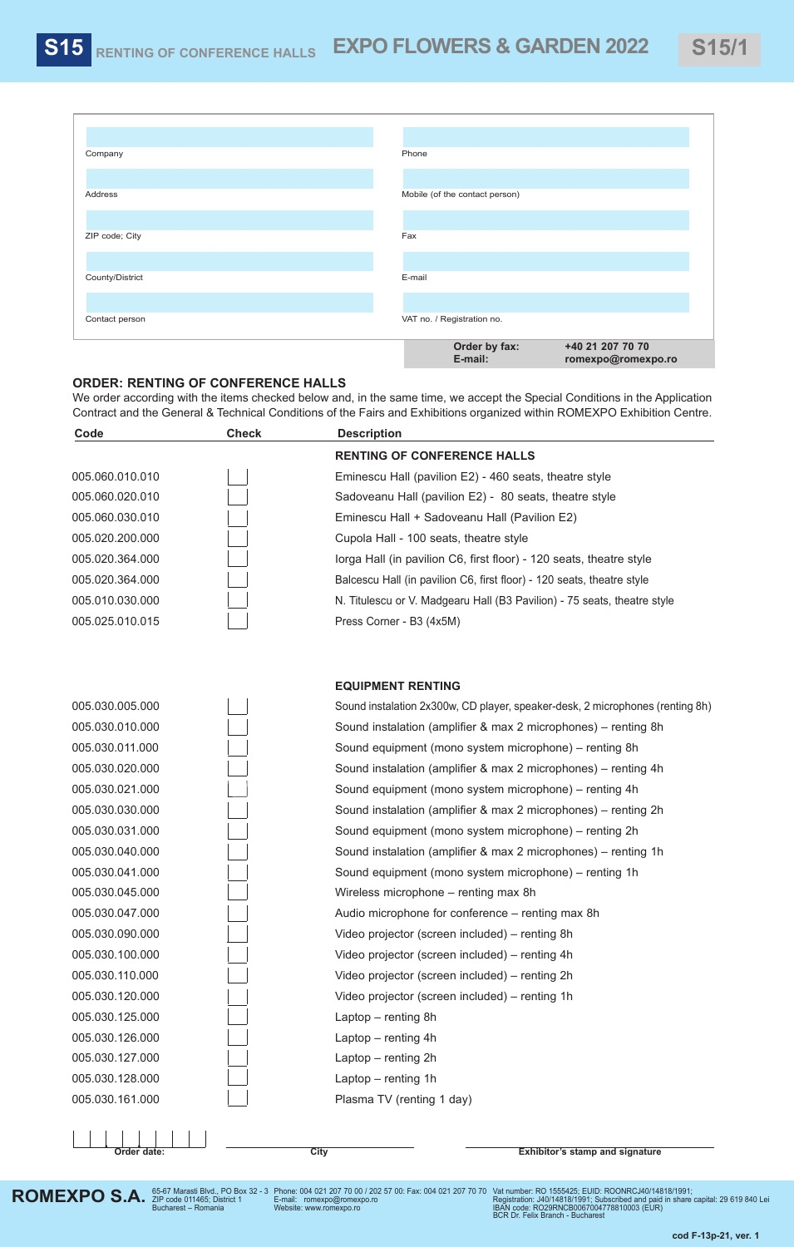| Company         | Phone                          |                                        |
|-----------------|--------------------------------|----------------------------------------|
| Address         | Mobile (of the contact person) |                                        |
|                 |                                |                                        |
| ZIP code; City  | Fax                            |                                        |
| County/District | E-mail                         |                                        |
|                 |                                |                                        |
| Contact person  | VAT no. / Registration no.     |                                        |
|                 | Order by fax:<br>E-mail:       | +40 21 207 70 70<br>romexpo@romexpo.ro |

## **ORDER: RENTING OF CONFERENCE HALLS**

We order according with the items checked below and, in the same time, we accept the Special Conditions in the Application Contract and the General & Technical Conditions of the Fairs and Exhibitions organized within ROMEXPO Exhibition Centre.

| Code            | <b>Check</b> | <b>Description</b>                                                            |
|-----------------|--------------|-------------------------------------------------------------------------------|
|                 |              | <b>RENTING OF CONFERENCE HALLS</b>                                            |
| 005.060.010.010 |              | Eminescu Hall (pavilion E2) - 460 seats, theatre style                        |
| 005.060.020.010 |              | Sadoveanu Hall (pavilion E2) - 80 seats, theatre style                        |
| 005.060.030.010 |              | Eminescu Hall + Sadoveanu Hall (Pavilion E2)                                  |
| 005.020.200.000 |              | Cupola Hall - 100 seats, theatre style                                        |
| 005.020.364.000 |              | lorga Hall (in pavilion C6, first floor) - 120 seats, theatre style           |
| 005.020.364.000 |              | Balcescu Hall (in pavilion C6, first floor) - 120 seats, theatre style        |
| 005.010.030.000 |              | N. Titulescu or V. Madgearu Hall (B3 Pavilion) - 75 seats, theatre style      |
| 005.025.010.015 |              | Press Corner - B3 (4x5M)                                                      |
|                 |              |                                                                               |
|                 |              | <b>EQUIPMENT RENTING</b>                                                      |
| 005.030.005.000 |              | Sound instalation 2x300w, CD player, speaker-desk, 2 microphones (renting 8h) |
| 005.030.010.000 |              | Sound instalation (amplifier & max 2 microphones) - renting 8h                |
| 005.030.011.000 |              | Sound equipment (mono system microphone) - renting 8h                         |
| 005.030.020.000 |              | Sound instalation (amplifier & max 2 microphones) – renting 4h                |
| 005.030.021.000 |              | Sound equipment (mono system microphone) - renting 4h                         |
| 005.030.030.000 |              | Sound instalation (amplifier & max 2 microphones) - renting 2h                |
| 005.030.031.000 |              | Sound equipment (mono system microphone) - renting 2h                         |
| 005.030.040.000 |              | Sound instalation (amplifier & max 2 microphones) – renting 1h                |
| 005.030.041.000 |              | Sound equipment (mono system microphone) - renting 1h                         |
| 005.030.045.000 |              | Wireless microphone - renting max 8h                                          |
| 005.030.047.000 |              | Audio microphone for conference - renting max 8h                              |
| 005.030.090.000 |              | Video projector (screen included) - renting 8h                                |
| 005.030.100.000 |              | Video projector (screen included) - renting 4h                                |
| 005.030.110.000 |              | Video projector (screen included) - renting 2h                                |
| 005.030.120.000 |              | Video projector (screen included) - renting 1h                                |
| 005.030.125.000 |              | Laptop - renting 8h                                                           |
| 005.030.126.000 |              | Laptop - renting 4h                                                           |
| 005.030.127.000 |              | Laptop - renting 2h                                                           |
| 005.030.128.000 |              | Laptop - renting 1h                                                           |
| 005.030.161.000 |              | Plasma TV (renting 1 day)                                                     |
| Order date:     |              | <b>City</b><br><b>Exhibitor's stamp and signature</b>                         |

Phone: 004 021 207 70 00 / 202 57 00: Fax: 004 021 207 70 70 E-mail: romexpo@romexpo.ro Website: www.romexpo.ro

Vat number: RO 1555425; EUID: ROONRCJ40/14818/1991;<br>Registration: J40/14818/1991; Subscribed and paid in share capital: 29 619 840 Lei<br>IBAN code: RO29RNCB0067004778810003 (EUR)<br>BCR Dr. Felix Branch - Bucharest